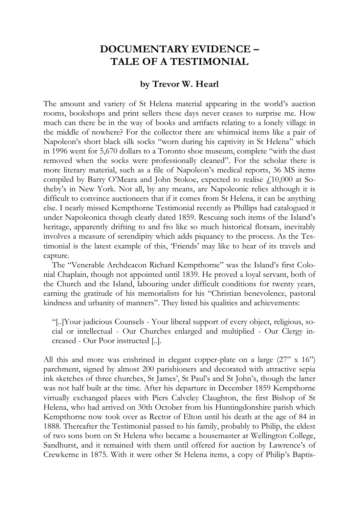## **DOCUMENTARY EVIDENCE – TALE OF A TESTIMONIAL**

## **by Trevor W. Hearl**

The amount and variety of St Helena material appearing in the world's auction rooms, bookshops and print sellers these days never ceases to surprise me. How much can there be in the way of books and artifacts relating to a lonely village in the middle of nowhere? For the collector there are whimsical items like a pair of Napoleon's short black silk socks "worn during his captivity in St Helena" which in 1996 went for 5,670 dollars to a Toronto shoe museum, complete "with the dust removed when the socks were professionally cleaned". For the scholar there is more literary material, such as a file of Napoleon's medical reports, 36 MS items compiled by Barry O'Meara and John Stokoe, expected to realise  $f<sub>10,000</sub>$  at Sotheby's in New York. Not all, by any means, are Napoleonic relics although it is difficult to convince auctioneers that if it comes from St Helena, it can be anything else. I nearly missed Kempthorne Testimonial recently as Phillips had catalogued it under Napoleonica though clearly dated 1859. Rescuing such items of the Island's heritage, apparently drifting to and fro like so much historical flotsam, inevitably involves a measure of serendipity which adds piquancy to the process. As the Testimonial is the latest example of this, 'Friends' may like to hear of its travels and capture.

The "Venerable Archdeacon Richard Kempthorne" was the Island's first Colonial Chaplain, though not appointed until 1839. He proved a loyal servant, both of the Church and the Island, labouring under difficult conditions for twenty years, earning the gratitude of his memorialists for his "Christian benevolence, pastoral kindness and urbanity of manners". They listed his qualities and achievements:

"[..]Your judicious Counsels - Your liberal support of every object, religious, social or intellectual - Our Churches enlarged and multiplied - Our Clergy increased - Our Poor instructed [..].

All this and more was enshrined in elegant copper-plate on a large (27" x 16") parchment, signed by almost 200 parishioners and decorated with attractive sepia ink sketches of three churches, St James', St Paul's and St John's, though the latter was not half built at the time. After his departure in December 1859 Kempthorne virtually exchanged places with Piers Calveley Claughton, the first Bishop of St Helena, who had arrived on 30th October from his Huntingdonshire parish which Kempthorne now took over as Rector of Elton until his death at the age of 84 in 1888. Thereafter the Testimonial passed to his family, probably to Philip, the eldest of two sons born on St Helena who became a housemaster at Wellington College, Sandhurst, and it remained with them until offered for auction by Lawrence's of Crewkerne in 1875. With it were other St Helena items, a copy of Philip's Baptis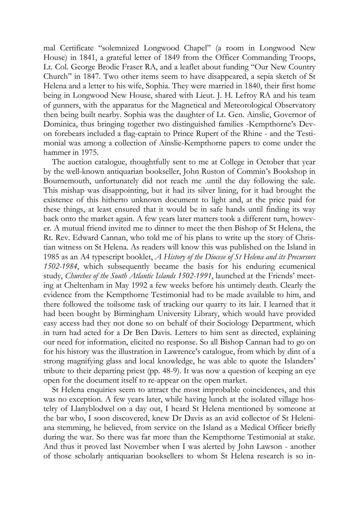mal Certificate "solemnized Longwood Chapel" (a room in Longwood New House) in 1841, a grateful letter of 1849 from the Officer Commanding Troops, Lt. Col. George Brodie Fraser RA, and a leaflet about funding "Our New Country Church" in 1847. Two other items seem to have disappeared, a sepia sketch of St Helena and a letter to his wife, Sophia. They were married in 1840, their first home being in Longwood New House, shared with Lieut. J. H. Lefroy RA and his team of gunners, with the apparatus for the Magnetical and Meteorological Observatory then being built nearby. Sophia was the daughter of Lt. Gen. Ainslie, Governor of Dominica, thus bringing together two distinguished families -Kempthorne's Devon forebears included a flag-captain to Prince Rupert of the Rhine - and the Testimonial was among a collection of Ainslie-Kempthorne papers to come under the hammer in 1975.

The auction catalogue, thoughtfully sent to me at College in October that year by the well-known antiquarian bookseller, John Ruston of Commin's Bookshop in Bournemouth, unfortunately did not reach me .until the day following the sale. This mishap was disappointing, but it had its silver lining, for it had brought the existence of this hitherto unknown document to light and, at the price paid for these things, at least ensured that it would be in safe hands until finding its way back onto the market again. A few years later matters took a different turn, however. A mutual friend invited me to dinner to meet the then Bishop of St Helena, the Rt. Rev. Edward Cannan, who told me of his plans to write up the story of Christian witness on St Helena. As readers will know this was published on the Island in 1985 as an A4 typescript booklet, *A History of the Diocese of St Helena and its Precursors 1502-1984*, which subsequently became the basis for his enduring ecumenical study, *Churches of the South Atlantic Islands 1502-1991*, launched at the Friends' meeting at Cheltenham in May 1992 a few weeks before his untimely death. Clearly the evidence from the Kempthorne Testimonial had to be made available to him, and there followed the toilsome task of tracking our quarry to its lair. I learned that it had been bought by Birmingham University Library, which would have provided easy access had they not done so on behalf of their Sociology Department, which in turn had acted for a Dr Ben Davis. Letters to him sent as directed, explaining our need for information, elicited no response. So all Bishop Cannan had to go on for his history was the illustration in Lawrence's catalogue, from which by dint of a strong magnifying glass and local knowledge, he was able to quote the Islanders' tribute to their departing priest (pp. 48-9). It was now a question of keeping an eye open for the document itself to re-appear on the open market.

St Helena enquiries seem to attract the most improbable coincidences, and this was no exception. A few years later, while having lunch at the isolated village hostelry of Llanyblodwel on a day out, I heard St Helena mentioned by someone at the bar who, I soon discovered, knew Dr Davis as an avid collector of St Heleniana stemming, he believed, from service on the Island as a Medical Officer briefly during the war. So there was far more than the Kempthorne Testimonial at stake. And thus it proved last November when I was alerted by John Lawson - another of those scholarly antiquarian booksellers to whom St Helena research is so in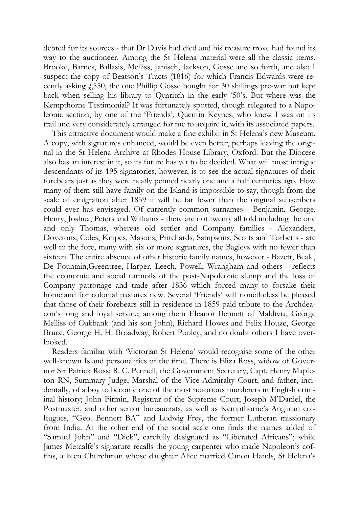debted for its sources - that Dr Davis had died and his treasure trove had found its way to the auctioneer. Among the St Helena material were all the classic items, Brooke, Barnes, Ballasis, Melliss, Janisch, Jackson, Gosse and so forth, and also I suspect the copy of Beatson's Tracts (1816) for which Francis Edwards were recently asking  $f_1$ 550, the one Phillip Gosse bought for 30 shillings pre-war but kept back when selling his library to Quaritch in the early '50's. But where was the Kempthorne Testimonial? It was fortunately spotted, though relegated to a Napoleonic section, by one of the 'Friends', Quentin Keynes, who knew I was on its trail and very considerately arranged for me to acquire it, with its associated papers.

This attractive document would make a fine exhibit in St Helena's new Museum. A copy, with signatures enhanced, would be even better, perhaps leaving the original in the St Helena Archive at Rhodes House Library, Oxford. But the Diocese also has an interest in it, so its future has yet to be decided. What will most intrigue descendants of its 195 signatories, however, is to see the actual signatures of their forebears just as they were neatly penned nearly one and a half centuries ago. How many of them still have family on the Island is impossible to say, though from the scale of emigration after 1859 it will be far fewer than the original subscribers could ever has envisaged. Of currently common surnames - Benjamin, George, Henry, Joshua, Peters and Williams - there are not twenty all told including the one and only Thomas, whereas old settler and Company families - Alexanders, Dovetons, Coles, Knipes, Masons, Pritchards, Sampsons, Scotts and Torbetts - are well to the fore, many with six or more signatures, the Bagleys with no fewer than sixteen! The entire absence of other historic family names, however - Bazett, Beale, De Fountain,Greentree, Harper, Leech, Powell, Wrangham and others - reflects the economic and social turmoils of the post-Napoleonic slump and the loss of Company patronage and trade after 1836 which forced many to forsake their homeland for colonial pastures new. Several 'Friends' will nonetheless be pleased that those of their forebears still in residence in 1859 paid tribute to the Archdeacon's long and loyal service, among them Eleanor Bennett of Maldivia, George Melliss of Oakbank (and his son John), Richard Howes and Felix Houze, George Bruce, George H. H. Broadway, Robert Pooley, and no doubt others I have overlooked.

Readers familiar with 'Victorian St Helena' would recognise some of the other well-known Island personalities of the time. There is Eliza Ross, widow of Governor Sir Patrick Ross; R. C. Pennell, the Government Secretary; Capt. Henry Mapleton RN, Summary Judge, Marshal of the Vice-Admiralty Court, and father, incidentally, of a boy to become one of the most notorious murderers in English criminal history; John Firmin, Registrar of the Supreme Court; Joseph M'Daniel, the Postmaster, and other senior bureaucrats, as well as Kempthorne's Anglican colleagues, "Geo. Bennett BA" and Ludwig Frey, the former Lutheran missionary from India. At the other end of the social scale one finds the names added of "Samuel John" and "Dick", carefully designated as "Liberated Africans"; while James Metcalfe's signature recalls the young carpenter who made Napoleon's coffins, a keen Churchman whose daughter Alice married Canon Hands, St Helena's